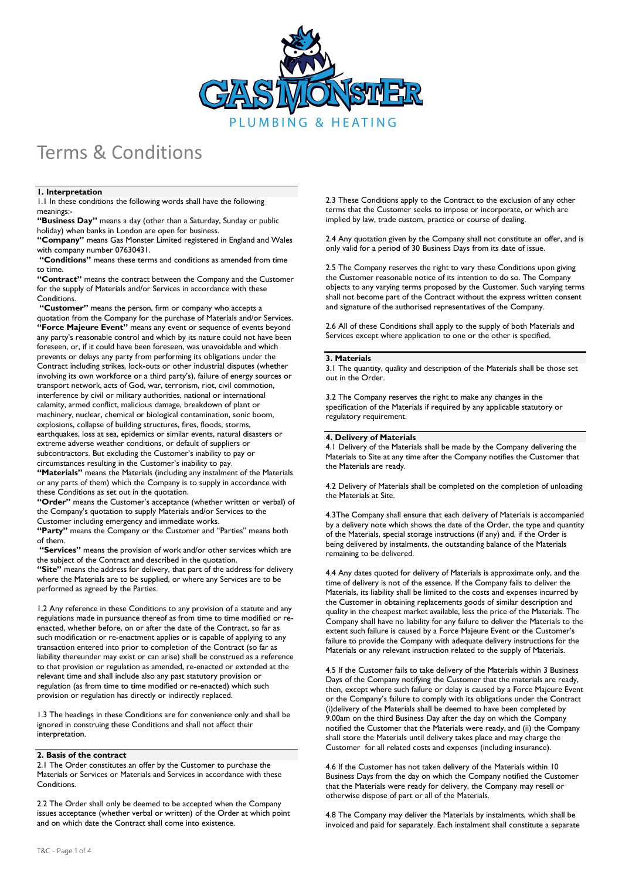

## **1. Interpretation**

1.1 In these conditions the following words shall have the following meanings:-

**"Business Day"** means a day (other than a Saturday, Sunday or public holiday) when banks in London are open for business.

**"Company"** means Gas Monster Limited registered in England and Wales with company number 07630431.

**"Conditions"** means these terms and conditions as amended from time to time.

**"Contract"** means the contract between the Company and the Customer for the supply of Materials and/or Services in accordance with these Conditions.

**"Customer"** means the person, firm or company who accepts a quotation from the Company for the purchase of Materials and/or Services. **"Force Majeure Event"** means any event or sequence of events beyond any party's reasonable control and which by its nature could not have been foreseen, or, if it could have been foreseen, was unavoidable and which prevents or delays any party from performing its obligations under the Contract including strikes, lock-outs or other industrial disputes (whether involving its own workforce or a third party's), failure of energy sources or transport network, acts of God, war, terrorism, riot, civil commotion, interference by civil or military authorities, national or international calamity, armed conflict, malicious damage, breakdown of plant or machinery, nuclear, chemical or biological contamination, sonic boom, explosions, collapse of building structures, fires, floods, storms, earthquakes, loss at sea, epidemics or similar events, natural disasters or extreme adverse weather conditions, or default of suppliers or subcontractors. But excluding the Customer's inability to pay or circumstances resulting in the Customer's inability to pay.

**"Materials"** means the Materials (including any instalment of the Materials or any parts of them) which the Company is to supply in accordance with these Conditions as set out in the quotation.

**"Order"** means the Customer's acceptance (whether written or verbal) of the Company's quotation to supply Materials and/or Services to the Customer including emergency and immediate works.

**"Party"** means the Company or the Customer and "Parties" means both of them.

**"Services"** means the provision of work and/or other services which are the subject of the Contract and described in the quotation.

**"Site"** means the address for delivery, that part of the address for delivery where the Materials are to be supplied, or where any Services are to be performed as agreed by the Parties.

1.2 Any reference in these Conditions to any provision of a statute and any regulations made in pursuance thereof as from time to time modified or reenacted, whether before, on or after the date of the Contract, so far as such modification or re-enactment applies or is capable of applying to any transaction entered into prior to completion of the Contract (so far as liability thereunder may exist or can arise) shall be construed as a reference to that provision or regulation as amended, re-enacted or extended at the relevant time and shall include also any past statutory provision or regulation (as from time to time modified or re-enacted) which such provision or regulation has directly or indirectly replaced.

1.3 The headings in these Conditions are for convenience only and shall be ignored in construing these Conditions and shall not affect their interpretation.

#### **2. Basis of the contract**

2.1 The Order constitutes an offer by the Customer to purchase the Materials or Services or Materials and Services in accordance with these Conditions.

2.2 The Order shall only be deemed to be accepted when the Company issues acceptance (whether verbal or written) of the Order at which point and on which date the Contract shall come into existence.

2.3 These Conditions apply to the Contract to the exclusion of any other terms that the Customer seeks to impose or incorporate, or which are implied by law, trade custom, practice or course of dealing.

2.4 Any quotation given by the Company shall not constitute an offer, and is only valid for a period of 30 Business Days from its date of issue.

2.5 The Company reserves the right to vary these Conditions upon giving the Customer reasonable notice of its intention to do so. The Company objects to any varying terms proposed by the Customer. Such varying terms shall not become part of the Contract without the express written consent and signature of the authorised representatives of the Company.

2.6 All of these Conditions shall apply to the supply of both Materials and Services except where application to one or the other is specified.

#### **3. Materials**

3.1 The quantity, quality and description of the Materials shall be those set out in the Order.

3.2 The Company reserves the right to make any changes in the specification of the Materials if required by any applicable statutory or regulatory requirement.

## **4. Delivery of Materials**

4.1 Delivery of the Materials shall be made by the Company delivering the Materials to Site at any time after the Company notifies the Customer that the Materials are ready.

4.2 Delivery of Materials shall be completed on the completion of unloading the Materials at Site.

4.3The Company shall ensure that each delivery of Materials is accompanied by a delivery note which shows the date of the Order, the type and quantity of the Materials, special storage instructions (if any) and, if the Order is being delivered by instalments, the outstanding balance of the Materials remaining to be delivered.

4.4 Any dates quoted for delivery of Materials is approximate only, and the time of delivery is not of the essence. If the Company fails to deliver the Materials, its liability shall be limited to the costs and expenses incurred by the Customer in obtaining replacements goods of similar description and quality in the cheapest market available, less the price of the Materials. The Company shall have no liability for any failure to deliver the Materials to the extent such failure is caused by a Force Majeure Event or the Customer's failure to provide the Company with adequate delivery instructions for the Materials or any relevant instruction related to the supply of Materials.

4.5 If the Customer fails to take delivery of the Materials within 3 Business Days of the Company notifying the Customer that the materials are ready, then, except where such failure or delay is caused by a Force Majeure Event or the Company's failure to comply with its obligations under the Contract (i)delivery of the Materials shall be deemed to have been completed by 9.00am on the third Business Day after the day on which the Company notified the Customer that the Materials were ready, and (ii) the Company shall store the Materials until delivery takes place and may charge the Customer for all related costs and expenses (including insurance).

4.6 If the Customer has not taken delivery of the Materials within 10 Business Days from the day on which the Company notified the Customer that the Materials were ready for delivery, the Company may resell or otherwise dispose of part or all of the Materials.

4.8 The Company may deliver the Materials by instalments, which shall be invoiced and paid for separately. Each instalment shall constitute a separate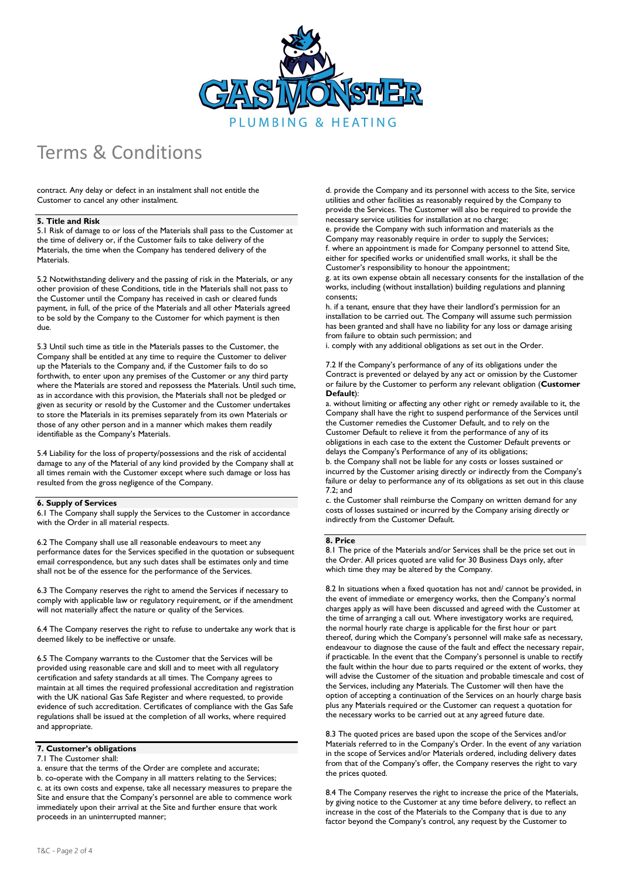

contract. Any delay or defect in an instalment shall not entitle the Customer to cancel any other instalment.

## **5. Title and Risk**

5.1 Risk of damage to or loss of the Materials shall pass to the Customer at the time of delivery or, if the Customer fails to take delivery of the Materials, the time when the Company has tendered delivery of the Materials.

5.2 Notwithstanding delivery and the passing of risk in the Materials, or any other provision of these Conditions, title in the Materials shall not pass to the Customer until the Company has received in cash or cleared funds payment, in full, of the price of the Materials and all other Materials agreed to be sold by the Company to the Customer for which payment is then due.

5.3 Until such time as title in the Materials passes to the Customer, the Company shall be entitled at any time to require the Customer to deliver up the Materials to the Company and, if the Customer fails to do so forthwith, to enter upon any premises of the Customer or any third party where the Materials are stored and repossess the Materials. Until such time, as in accordance with this provision, the Materials shall not be pledged or given as security or resold by the Customer and the Customer undertakes to store the Materials in its premises separately from its own Materials or those of any other person and in a manner which makes them readily identifiable as the Company's Materials.

5.4 Liability for the loss of property/possessions and the risk of accidental damage to any of the Material of any kind provided by the Company shall at all times remain with the Customer except where such damage or loss has resulted from the gross negligence of the Company.

#### **6. Supply of Services**

6.1 The Company shall supply the Services to the Customer in accordance with the Order in all material respects.

6.2 The Company shall use all reasonable endeavours to meet any performance dates for the Services specified in the quotation or subsequent email correspondence, but any such dates shall be estimates only and time shall not be of the essence for the performance of the Services.

6.3 The Company reserves the right to amend the Services if necessary to comply with applicable law or regulatory requirement, or if the amendment will not materially affect the nature or quality of the Services.

6.4 The Company reserves the right to refuse to undertake any work that is deemed likely to be ineffective or unsafe.

6.5 The Company warrants to the Customer that the Services will be provided using reasonable care and skill and to meet with all regulatory certification and safety standards at all times. The Company agrees to maintain at all times the required professional accreditation and registration with the UK national Gas Safe Register and where requested, to provide evidence of such accreditation. Certificates of compliance with the Gas Safe regulations shall be issued at the completion of all works, where required and appropriate.

## **7. Customer's obligations**

7.1 The Customer shall:

a. ensure that the terms of the Order are complete and accurate; b. co-operate with the Company in all matters relating to the Services; c. at its own costs and expense, take all necessary measures to prepare the Site and ensure that the Company's personnel are able to commence work immediately upon their arrival at the Site and further ensure that work proceeds in an uninterrupted manner;

d. provide the Company and its personnel with access to the Site, service utilities and other facilities as reasonably required by the Company to provide the Services. The Customer will also be required to provide the necessary service utilities for installation at no charge;

e. provide the Company with such information and materials as the Company may reasonably require in order to supply the Services; f. where an appointment is made for Company personnel to attend Site, either for specified works or unidentified small works, it shall be the Customer's responsibility to honour the appointment;

g. at its own expense obtain all necessary consents for the installation of the works, including (without installation) building regulations and planning consents;

h. if a tenant, ensure that they have their landlord's permission for an installation to be carried out. The Company will assume such permission has been granted and shall have no liability for any loss or damage arising from failure to obtain such permission; and

i. comply with any additional obligations as set out in the Order.

7.2 If the Company's performance of any of its obligations under the Contract is prevented or delayed by any act or omission by the Customer or failure by the Customer to perform any relevant obligation (**Customer Default**):

a. without limiting or affecting any other right or remedy available to it, the Company shall have the right to suspend performance of the Services until the Customer remedies the Customer Default, and to rely on the Customer Default to relieve it from the performance of any of its obligations in each case to the extent the Customer Default prevents or delays the Company's Performance of any of its obligations;

b. the Company shall not be liable for any costs or losses sustained or incurred by the Customer arising directly or indirectly from the Company's failure or delay to performance any of its obligations as set out in this clause  $7.2$ ; and

c. the Customer shall reimburse the Company on written demand for any costs of losses sustained or incurred by the Company arising directly or indirectly from the Customer Default.

## **8. Price**

8.1 The price of the Materials and/or Services shall be the price set out in the Order. All prices quoted are valid for 30 Business Days only, after which time they may be altered by the Company.

8.2 In situations when a fixed quotation has not and/ cannot be provided, in the event of immediate or emergency works, then the Company's normal charges apply as will have been discussed and agreed with the Customer at the time of arranging a call out. Where investigatory works are required, the normal hourly rate charge is applicable for the first hour or part thereof, during which the Company's personnel will make safe as necessary, endeavour to diagnose the cause of the fault and effect the necessary repair, if practicable. In the event that the Company's personnel is unable to rectify the fault within the hour due to parts required or the extent of works, they will advise the Customer of the situation and probable timescale and cost of the Services, including any Materials. The Customer will then have the option of accepting a continuation of the Services on an hourly charge basis plus any Materials required or the Customer can request a quotation for the necessary works to be carried out at any agreed future date.

8.3 The quoted prices are based upon the scope of the Services and/or Materials referred to in the Company's Order. In the event of any variation in the scope of Services and/or Materials ordered, including delivery dates from that of the Company's offer, the Company reserves the right to vary the prices quoted.

8.4 The Company reserves the right to increase the price of the Materials, by giving notice to the Customer at any time before delivery, to reflect an increase in the cost of the Materials to the Company that is due to any factor beyond the Company's control, any request by the Customer to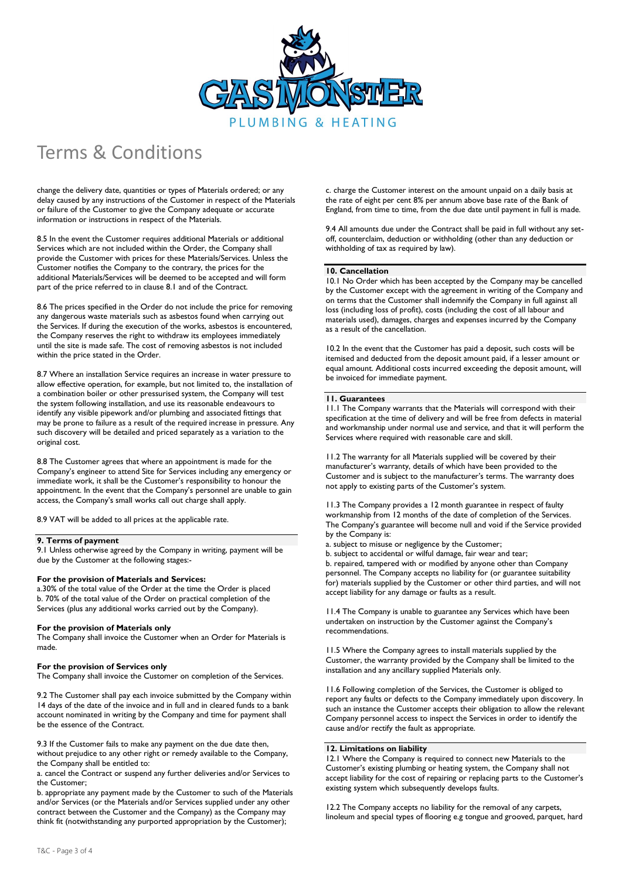

change the delivery date, quantities or types of Materials ordered; or any delay caused by any instructions of the Customer in respect of the Materials or failure of the Customer to give the Company adequate or accurate information or instructions in respect of the Materials.

8.5 In the event the Customer requires additional Materials or additional Services which are not included within the Order, the Company shall provide the Customer with prices for these Materials/Services. Unless the Customer notifies the Company to the contrary, the prices for the additional Materials/Services will be deemed to be accepted and will form part of the price referred to in clause 8.1 and of the Contract.

8.6 The prices specified in the Order do not include the price for removing any dangerous waste materials such as asbestos found when carrying out the Services. If during the execution of the works, asbestos is encountered, the Company reserves the right to withdraw its employees immediately until the site is made safe. The cost of removing asbestos is not included within the price stated in the Order.

8.7 Where an installation Service requires an increase in water pressure to allow effective operation, for example, but not limited to, the installation of a combination boiler or other pressurised system, the Company will test the system following installation, and use its reasonable endeavours to identify any visible pipework and/or plumbing and associated fittings that may be prone to failure as a result of the required increase in pressure. Any such discovery will be detailed and priced separately as a variation to the original cost.

8.8 The Customer agrees that where an appointment is made for the Company's engineer to attend Site for Services including any emergency or immediate work, it shall be the Customer's responsibility to honour the appointment. In the event that the Company's personnel are unable to gain access, the Company's small works call out charge shall apply.

8.9 VAT will be added to all prices at the applicable rate.

## **9. Terms of payment**

9.1 Unless otherwise agreed by the Company in writing, payment will be due by the Customer at the following stages:-

#### **For the provision of Materials and Services:**

a.30% of the total value of the Order at the time the Order is placed b. 70% of the total value of the Order on practical completion of the Services (plus any additional works carried out by the Company).

#### **For the provision of Materials only**

The Company shall invoice the Customer when an Order for Materials is made.

### **For the provision of Services only**

The Company shall invoice the Customer on completion of the Services.

9.2 The Customer shall pay each invoice submitted by the Company within 14 days of the date of the invoice and in full and in cleared funds to a bank account nominated in writing by the Company and time for payment shall be the essence of the Contract.

9.3 If the Customer fails to make any payment on the due date then, without prejudice to any other right or remedy available to the Company, the Company shall be entitled to:

a. cancel the Contract or suspend any further deliveries and/or Services to the Customer;

b. appropriate any payment made by the Customer to such of the Materials and/or Services (or the Materials and/or Services supplied under any other contract between the Customer and the Company) as the Company may think fit (notwithstanding any purported appropriation by the Customer);

c. charge the Customer interest on the amount unpaid on a daily basis at the rate of eight per cent 8% per annum above base rate of the Bank of England, from time to time, from the due date until payment in full is made.

9.4 All amounts due under the Contract shall be paid in full without any setoff, counterclaim, deduction or withholding (other than any deduction or withholding of tax as required by law).

#### **10. Cancellation**

10.1 No Order which has been accepted by the Company may be cancelled by the Customer except with the agreement in writing of the Company and on terms that the Customer shall indemnify the Company in full against all loss (including loss of profit), costs (including the cost of all labour and materials used), damages, charges and expenses incurred by the Company as a result of the cancellation.

10.2 In the event that the Customer has paid a deposit, such costs will be itemised and deducted from the deposit amount paid, if a lesser amount or equal amount. Additional costs incurred exceeding the deposit amount, will be invoiced for immediate payment.

#### **11. Guarantees**

11.1 The Company warrants that the Materials will correspond with their specification at the time of delivery and will be free from defects in material and workmanship under normal use and service, and that it will perform the Services where required with reasonable care and skill.

11.2 The warranty for all Materials supplied will be covered by their manufacturer's warranty, details of which have been provided to the Customer and is subject to the manufacturer's terms. The warranty does not apply to existing parts of the Customer's system.

11.3 The Company provides a 12 month guarantee in respect of faulty workmanship from 12 months of the date of completion of the Services. The Company's guarantee will become null and void if the Service provided by the Company is:

a. subject to misuse or negligence by the Customer;

b. subject to accidental or wilful damage, fair wear and tear;

b. repaired, tampered with or modified by anyone other than Company personnel. The Company accepts no liability for (or guarantee suitability for) materials supplied by the Customer or other third parties, and will not accept liability for any damage or faults as a result.

11.4 The Company is unable to guarantee any Services which have been undertaken on instruction by the Customer against the Company's recommendations.

11.5 Where the Company agrees to install materials supplied by the Customer, the warranty provided by the Company shall be limited to the installation and any ancillary supplied Materials only.

11.6 Following completion of the Services, the Customer is obliged to report any faults or defects to the Company immediately upon discovery. In such an instance the Customer accepts their obligation to allow the relevant Company personnel access to inspect the Services in order to identify the cause and/or rectify the fault as appropriate.

## **12. Limitations on liability**

12.1 Where the Company is required to connect new Materials to the Customer's existing plumbing or heating system, the Company shall not accept liability for the cost of repairing or replacing parts to the Customer's existing system which subsequently develops faults.

12.2 The Company accepts no liability for the removal of any carpets, linoleum and special types of flooring e.g tongue and grooved, parquet, hard